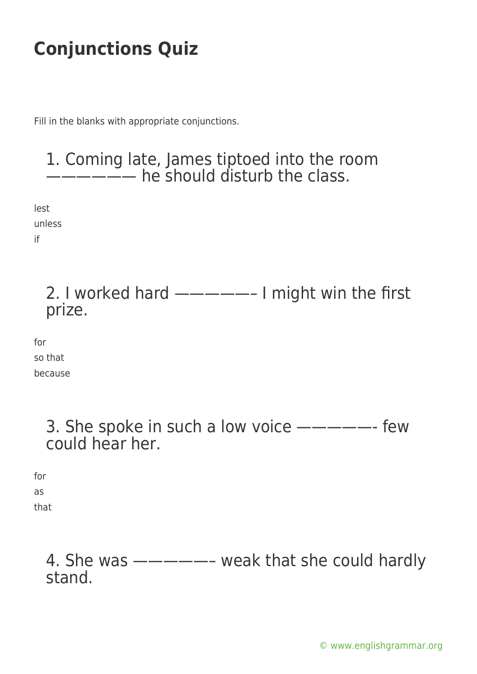Fill in the blanks with appropriate conjunctions.

### 1. Coming late, James tiptoed into the room **----** he should disturb the class.

lest unless if

> 2. I worked hard —————– I might win the first prize.

for so that because

> 3. She spoke in such a low voice —————- few could hear her.

for as

that

4. She was —————– weak that she could hardly stand.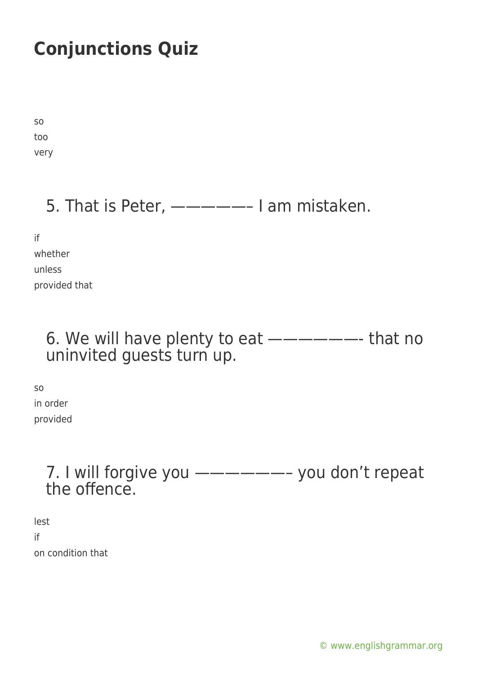so too very

### 5. That is Peter, —————– I am mistaken.

if

whether

unless provided that

### 6. We will have plenty to eat  $\text{---}\text{---}$  that no uninvited guests turn up.

so in order provided

### 7. I will forgive you ——————– you don't repeat the offence.

lest if on condition that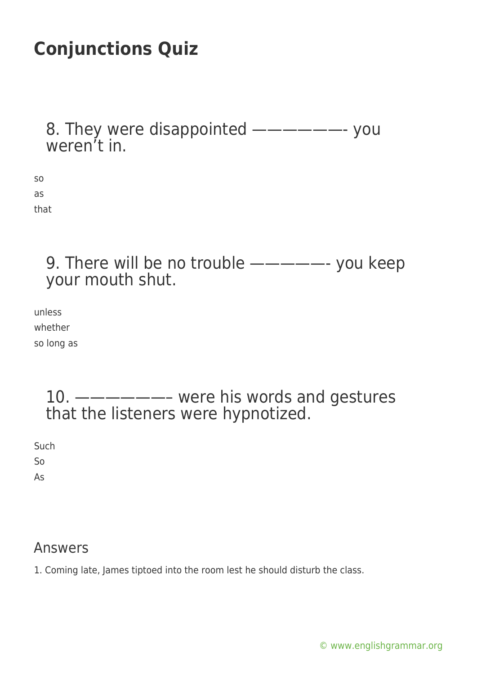8. They were disappointed ——————- you weren't in.

so as that

> 9. There will be no trouble  $\text{---} \text{---}$  you keep your mouth shut.

unless whether so long as

> 10. ——————– were his words and gestures that the listeners were hypnotized.

Such So

As

#### Answers

1. Coming late, James tiptoed into the room lest he should disturb the class.